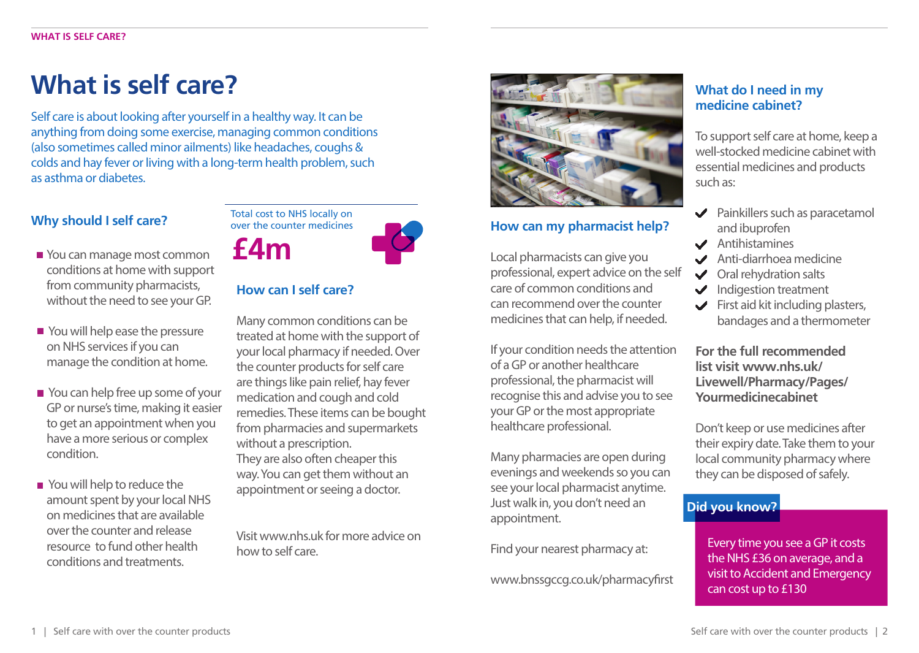## **What is self care?**

Self care is about looking after yourself in a healthy way. It can be anything from doing some exercise, managing common conditions (also sometimes called minor ailments) like headaches, coughs & colds and hay fever or living with a long-term health problem, such as asthma or diabetes.

### **Why should I self care?**

- from community pharmacists,<br> **How can I self care?** You can manage most common conditions at home with support without the need to see your GP.
- You will help ease the pressure on NHS services if you can manage the condition at home.
- You can help free up some of your GP or nurse's time, making it easier to get an appointment when you have a more serious or complex condition.
- You will help to reduce the amount spent by your local NHS on medicines that are available over the counter and release resource to fund other health conditions and treatments.

Total cost to NHS locally on over the counter medicines **£4m**

Many common conditions can be treated at home with the support of your local pharmacy if needed. Over the counter products for self care are things like pain relief, hay fever medication and cough and cold remedies. These items can be bought from pharmacies and supermarkets without a prescription. They are also often cheaper this way. You can get them without an appointment or seeing a doctor.

Visit www.nhs.uk for more advice on how to self care.



#### **How can my pharmacist help?**

Local pharmacists can give you professional, expert advice on the self care of common conditions and can recommend over the counter medicines that can help, if needed.

If your condition needs the attention of a GP or another healthcare professional, the pharmacist will recognise this and advise you to see your GP or the most appropriate healthcare professional.

Many pharmacies are open during evenings and weekends so you can see your local pharmacist anytime. Just walk in, you don't need an appointment.

Find your nearest pharmacy at:

www.bnssgccg.co.uk/pharmacyfirst

#### **What do I need in my medicine cabinet?**

To support self care at home, keep a well-stocked medicine cabinet with essential medicines and products such as:

- $\blacktriangleright$  Painkillers such as paracetamol and ibuprofen
- Antihistamines
- Anti-diarrhoea medicine
- **◆** Oral rehydration salts
- $\blacktriangleright$  Indigestion treatment
- $\blacktriangleright$  First aid kit including plasters, bandages and a thermometer

**For the full recommended list visit www.nhs.uk/ Livewell/Pharmacy/Pages/ Yourmedicinecabinet**

Don't keep or use medicines after their expiry date. Take them to your local community pharmacy where they can be disposed of safely.

#### **Did you know?**

Every time you see a GP it costs the NHS £36 on average, and a visit to Accident and Emergency can cost up to £130